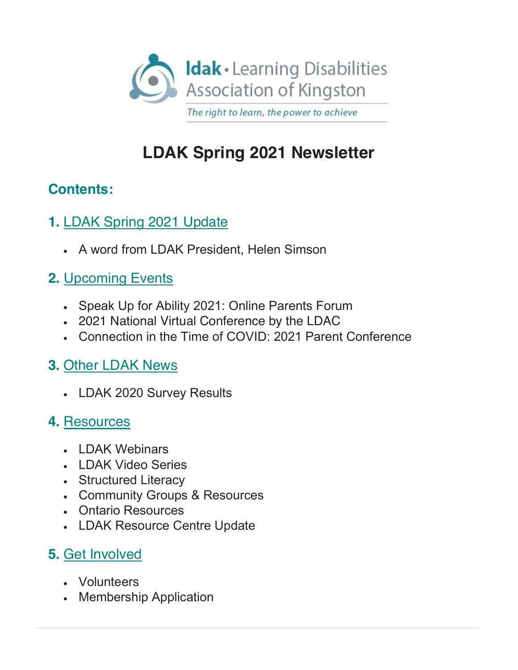

# **LDAK Spring 2021 Newsletter**

### **Contents:**

- **1.** [LDAK Spring 2021 Update](#page-1-0)
	- <sup>x</sup> A word from LDAK President, Helen Simson

## **2.** [Upcoming Events](#page-1-1)

- Speak Up for Ability 2021: Online Parents Forum
- <sup>x</sup> 2021 National Virtual Conference by the LDAC
- <sup>x</sup> Connection in the Time of COVID: 2021 Parent Conference

## **3.** [Other](https://mailchi.mp/29d9d2340781/w99ihpug52?e=c35353fdc7%23OtherNews) [LDAK News](#page-3-0)

• LDAK 2020 Survey Results

### **4.** [Resources](#page-4-0)

- <sup>x</sup> LDAK Webinars
- LDAK Video Series
- Structured Literacy
- Community Groups & Resources
- <sup>x</sup> Ontario Resources
- LDAK Resource Centre Update

## **5.** [Get Involved](#page-7-0)

- Volunteers
- Membership Application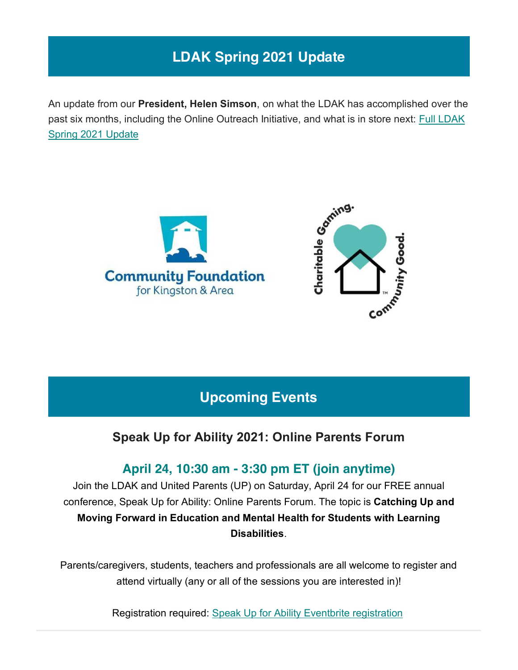## **LDAK Spring 2021 Update**

<span id="page-1-0"></span>An update from our **President, Helen Simson**, on what the LDAK has accomplished over the past six months, including the Online Outreach Initiative, and what is in store next: Full LDAK [Spring 2021 Update](https://www.ldakingston.com/post/ldak-update-spring-2021)





### **Upcoming Events**

### **Speak Up for Ability 2021: Online Parents Forum**

### **April 24, 10:30 am - 3:30 pm ET (join anytime)**

<span id="page-1-1"></span>Join the LDAK and United Parents (UP) on Saturday, April 24 for our FREE annual conference, Speak Up for Ability: Online Parents Forum. The topic is **Catching Up and Moving Forward in Education and Mental Health for Students with Learning Disabilities**.

Parents/caregivers, students, teachers and professionals are all welcome to register and attend virtually (any or all of the sessions you are interested in)!

Registration required: [Speak Up for Ability](https://www.eventbrite.ca/e/speak-up-for-ability-2021-online-parents-forum-tickets-144422239807?aff=ebdssbonlinesearch) [Eventbrite registration](https://www.eventbrite.ca/e/speak-up-for-ability-2021-online-parents-forum-tickets-144422239807?aff=ebdssbonlinesearch)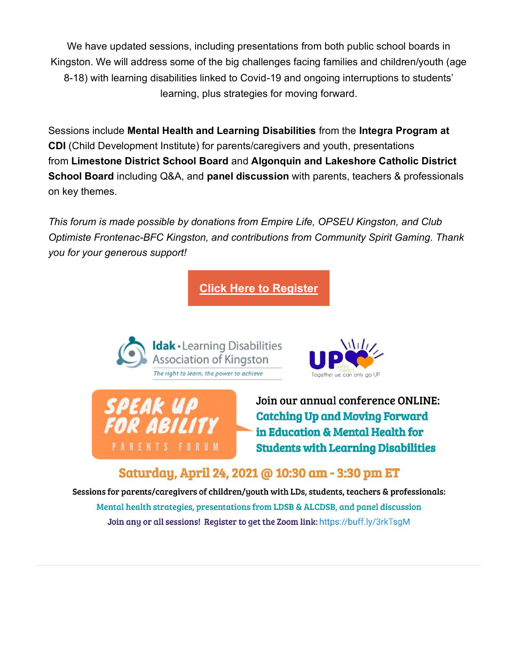We have updated sessions, including presentations from both public school boards in Kingston. We will address some of the big challenges facing families and children/youth (age 8-18) with learning disabilities linked to Covid-19 and ongoing interruptions to students' learning, plus strategies for moving forward.

Sessions include **Mental Health and Learning Disabilities** from the **Integra Program at CDI** (Child Development Institute) for parents/caregivers and youth, presentations from **Limestone District School Board** and **Algonquin and Lakeshore Catholic District School Board** including Q&A, and **panel discussion** with parents, teachers & professionals on key themes.

*This forum is made possible by donations from Empire Life, OPSEU Kingston, and Club Optimiste Frontenac-BFC Kingston, and contributions from Community Spirit Gaming. Thank you for your generous support!*

**[Click Here to Register](https://buff.ly/3rkTsgM)**







Join our annual conference ONLINE: **Catching Up and Moving Forward** in Education & Mental Health for **Students with Learning Disabilities** 

#### Saturday, April 24, 2021 @ 10:30 am - 3:30 pm ET

Sessions for parents/caregivers of children/youth with LDs, students, teachers & professionals: Mental health strategies, presentations from LDSB & ALCDSB, and panel discussion Join any or all sessions! Register to get the Zoom link: https://buff.ly/3rkTsqM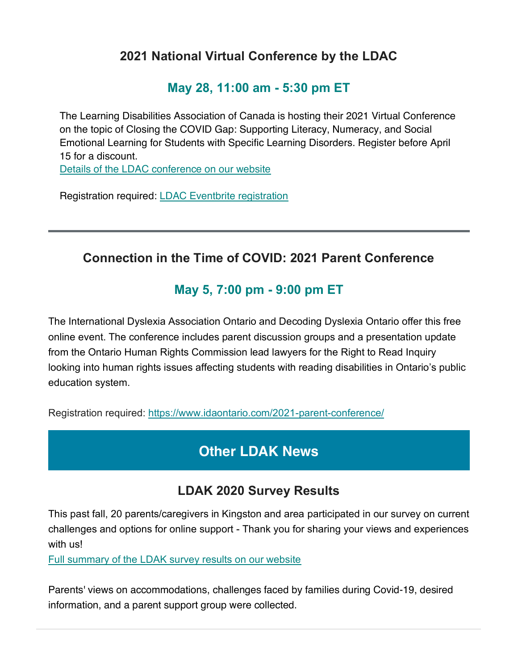#### **2021 National Virtual Conference by the LDAC**

#### **May 28, 11:00 am - 5:30 pm ET**

The Learning Disabilities Association of Canada is hosting their 2021 Virtual Conference on the topic of Closing the COVID Gap: Supporting Literacy, Numeracy, and Social Emotional Learning for Students with Specific Learning Disorders. Register before April 15 for a discount.

[Details of the LDAC conference on our website](https://www.ldakingston.com/post/2021-national-virtual-conference-by-the-learning-disabilities-association-of-canada-on-may-28)

Registration required: [LDAC](https://www.eventbrite.ca/e/learning-disabilities-association-of-canada-conference-2021-tickets-146594322565) [Eventbrite registration](https://www.eventbrite.ca/e/learning-disabilities-association-of-canada-conference-2021-tickets-146594322565) 

### **Connection in the Time of COVID: 2021 Parent Conference**

### **May 5, 7:00 pm - 9:00 pm ET**

The International Dyslexia Association Ontario and Decoding Dyslexia Ontario offer this free online event. The conference includes parent discussion groups and a presentation update from the Ontario Human Rights Commission lead lawyers for the Right to Read Inquiry looking into human rights issues affecting students with reading disabilities in Ontario's public education system.

Registration required: <https://www.idaontario.com/2021-parent-conference/>

### **Other LDAK News**

### **LDAK 2020 Survey Results**

<span id="page-3-0"></span>This past fall, 20 parents/caregivers in Kingston and area participated in our survey on current challenges and options for online support - Thank you for sharing your views and experiences with us!

[Full summary of the LDAK survey results on our website](https://www.ldakingston.com/post/summary-of-ldak-2020-survey-results)

Parents' views on accommodations, challenges faced by families during Covid-19, desired information, and a parent support group were collected.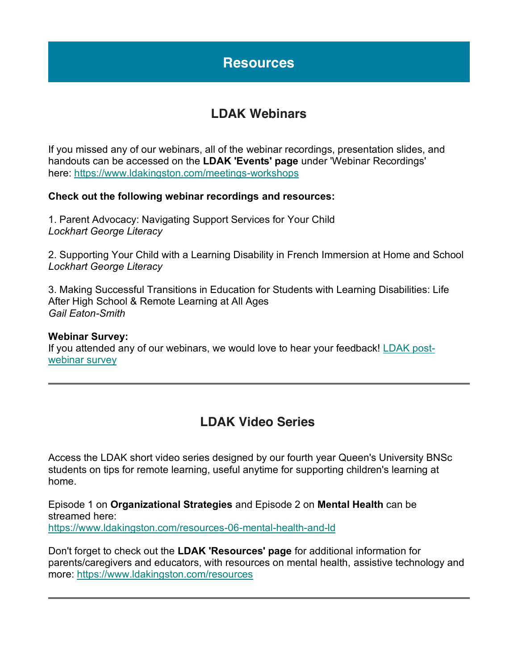### **Resources**

#### **LDAK Webinars**

<span id="page-4-0"></span>If you missed any of our webinars, all of the webinar recordings, presentation slides, and handouts can be accessed on the **LDAK 'Events' page** under 'Webinar Recordings' here: <https://www.ldakingston.com/meetings-workshops>

#### **Check out the following webinar recordings and resources:**

1. Parent Advocacy: Navigating Support Services for Your Child *Lockhart George Literacy*

2. Supporting Your Child with a Learning Disability in French Immersion at Home and School *Lockhart George Literacy*

3. Making Successful Transitions in Education for Students with Learning Disabilities: Life After High School & Remote Learning at All Ages *Gail Eaton-Smith*

#### **Webinar Survey:**

If you attended any of our webinars, we would love to hear your feedback! [LDAK post](https://buff.ly/2XTOJ8L)[webinar](https://buff.ly/2XTOJ8L) survey

#### **LDAK Video Series**

Access the LDAK short video series designed by our fourth year Queen's University BNSc students on tips for remote learning, useful anytime for supporting children's learning at home.

Episode 1 on **Organizational Strategies** and Episode 2 on **Mental Health** can be streamed here: <https://www.ldakingston.com/resources-06-mental-health-and-ld>

Don't forget to check out the **LDAK 'Resources' page** for additional information for parents/caregivers and educators, with resources on mental health, assistive technology and more: <https://www.ldakingston.com/resources>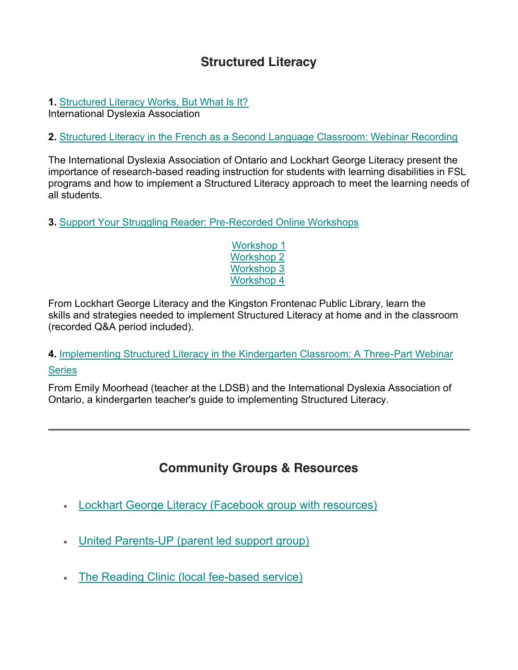#### **Structured Literacy**

#### **1.** [Structured Literacy Works, But What Is It?](https://dyslexiaida.org/structuredliteracy/)

International Dyslexia Association

#### **2.** [Structured Literacy in the French as a Second Language Classroom: Webinar Recording](https://buff.ly/30eXVWl)

The International Dyslexia Association of Ontario and Lockhart George Literacy present the importance of research-based reading instruction for students with learning disabilities in FSL programs and how to implement a Structured Literacy approach to meet the learning needs of all students.

**3.** [Support Your Struggling Reader: Pre-Recorded Online Workshops](https://www.youtube.com/watch?v=ReIJ_jjBDUg&ab_channel=KingstonFrontenacPublicLibrary)

[Workshop 1](https://www.youtube.com/watch?v=ReIJ_jjBDUg&ab_channel=KingstonFrontenacPublicLibrary) [Workshop 2](https://www.youtube.com/watch?v=Mhz9jqrF67o&ab_channel=KingstonFrontenacPublicLibrary) [Workshop 3](https://www.youtube.com/watch?v=FLzFSOiI99g&ab_channel=KingstonFrontenacPublicLibrary) [Workshop 4](https://www.youtube.com/watch?v=onsbGleDJSQ&ab_channel=KingstonFrontenacPublicLibrary)

From Lockhart George Literacy and the Kingston Frontenac Public Library, learn the skills and strategies needed to implement Structured Literacy at home and in the classroom (recorded Q&A period included).

#### **4.** [Implementing Structured Literacy in the Kindergarten Classroom: A Three-Part Webinar](https://www.idaontario.com/5900-2/)  **[Series](https://www.idaontario.com/5900-2/)**

From Emily Moorhead (teacher at the LDSB) and the International Dyslexia Association of Ontario, a kindergarten teacher's guide to implementing Structured Literacy.

### **Community Groups & Resources**

- [Lockhart George Literacy \(Facebook group with resources\)](https://www.facebook.com/LockhartGeorgeLiteracy)
- [United Parents-UP \(parent led support group\)](https://www.facebook.com/United-Parents-UP-1873636589574878)
- [The Reading Clinic \(local fee-based service\)](https://thereadingclinic.ca/)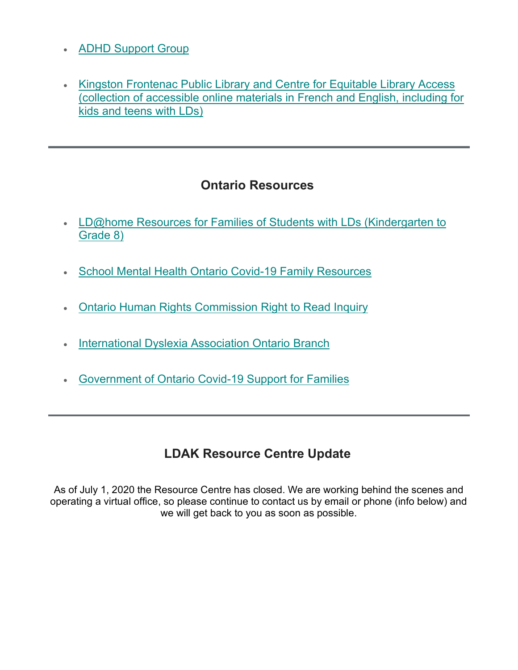- [ADHD Support Group](https://www.adhdsupportgroup.ca/group/)
- Kingston Frontenac Public Library and Centre for Equitable Library Access (collection of accessible [online materials in French and English,](https://www.ldakingston.com/post/kingston-frontenac-public-library-and-centre-for-equitable-library-access-cela-resources) including for [kids and teens with LDs\)](https://www.ldakingston.com/post/kingston-frontenac-public-library-and-centre-for-equitable-library-access-cela-resources)

#### **Ontario Resources**

- . LD@home Resources for Families of Students with LDs (Kindergarten to [Grade 8\)](https://www.ldathome.ca/)
- [School Mental Health Ontario Covid-19 Family Resources](https://smho-smso.ca/covid-19/parents-and-families/)
- [Ontario Human Rights Commission Right to Read Inquiry](http://www.ohrc.on.ca/en/right-read-public-inquiry-on-reading-disabilities?fbclid=IwAR1obPUuHGwbrcQqHo7T5ecPBv_nJAvRU68W6kh2riUAybjcuWSkNtKSYx4)
- **[International Dyslexia Association Ontario Branch](http://www.idaontario.com/)**
- [Government of Ontario Covid-19 Support for Families](https://www.ontario.ca/page/covid-19-support-students-and-parents%23section-0)

### **LDAK Resource Centre Update**

As of July 1, 2020 the Resource Centre has closed. We are working behind the scenes and operating a virtual office, so please continue to contact us by email or phone (info below) and we will get back to you as soon as possible.